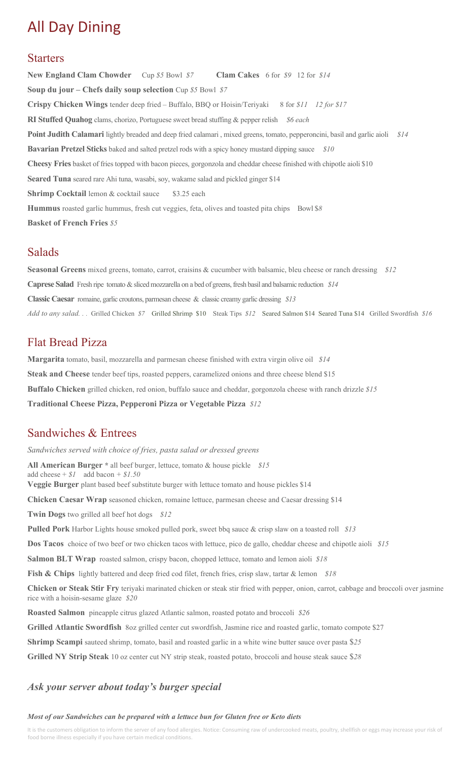# All Day Dining

## Starters

**New England Clam Chowder** Cup *\$5* Bowl *\$7* **Clam Cakes** 6 for *\$9* 12 for *\$14* **Soup du jour – Chefs daily soup selection** Cup *\$5* Bowl *\$7* **Crispy Chicken Wings** tender deep fried – Buffalo, BBQ or Hoisin/Teriyaki 8 for *\$11 12 for \$17* **RI Stuffed Quahog** clams, chorizo, Portuguese sweet bread stuffing & pepper relish *\$6 each* **Point Judith Calamari** lightly breaded and deep fried calamari , mixed greens, tomato, pepperoncini, basil and garlic aioli *\$14* **Bavarian Pretzel Sticks** baked and salted pretzel rods with a spicy honey mustard dipping sauce *\$10* **Cheesy Fries** basket of fries topped with bacon pieces, gorgonzola and cheddar cheese finished with chipotle aioli \$10 **Seared Tuna** seared rare Ahi tuna, wasabi, soy, wakame salad and pickled ginger \$14 **Shrimp Cocktail** lemon & cocktail sauce \$3.25 each Hummus roasted garlic hummus, fresh cut veggies, feta, olives and toasted pita chips Bowl \$8 **Basket of French Fries** *\$5* 

## Salads

**Seasonal Greens** mixed greens, tomato, carrot, craisins & cucumber with balsamic, bleu cheese or ranch dressing *\$12* **Caprese Salad** Fresh ripe tomato & sliced mozzarella on a bed of greens, fresh basil and balsamic reduction *\$14* **Classic Caesar** romaine, garlic croutons, parmesan cheese & classic creamy garlic dressing *\$13 Add to any salad. . .* Grilled Chicken *\$7* Grilled Shrimp \$10 Steak Tips *\$12* Seared Salmon \$14 Seared Tuna \$14 Grilled Swordfish *\$16*

## Flat Bread Pizza

**Margarita** tomato, basil, mozzarella and parmesan cheese finished with extra virgin olive oil *\$14* Steak and Cheese tender beef tips, roasted peppers, caramelized onions and three cheese blend \$15 **Buffalo Chicken** grilled chicken, red onion, buffalo sauce and cheddar, gorgonzola cheese with ranch drizzle *\$15* **Traditional Cheese Pizza, Pepperoni Pizza or Vegetable Pizza** *\$12*

## Sandwiches & Entrees

*Sandwiches served with choice of fries, pasta salad or dressed greens*  **All American Burger \*** all beef burger, lettuce, tomato & house pickle *\$15* add cheese + *\$1* add bacon *+ \$1.50*  **Veggie Burger** plant based beef substitute burger with lettuce tomato and house pickles \$14 **Chicken Caesar Wrap** seasoned chicken, romaine lettuce, parmesan cheese and Caesar dressing \$14 **Twin Dogs** two grilled all beef hot dogs *\$12* **Pulled Pork** Harbor Lights house smoked pulled pork, sweet bbq sauce & crisp slaw on a toasted roll *\$13* **Dos Tacos** choice of two beef or two chicken tacos with lettuce, pico de gallo, cheddar cheese and chipotle aioli *\$15* **Salmon BLT Wrap** roasted salmon, crispy bacon, chopped lettuce, tomato and lemon aioli *\$18* **Fish & Chips** lightly battered and deep fried cod filet, french fries, crisp slaw, tartar & lemon *\$18* **Chicken or Steak Stir Fry** teriyaki marinated chicken or steak stir fried with pepper, onion, carrot, cabbage and broccoli over jasmine rice with a hoisin-sesame glaze *\$20* **Roasted Salmon** pineapple citrus glazed Atlantic salmon, roasted potato and broccoli *\$26* **Grilled Atlantic Swordfish** 8oz grilled center cut swordfish, Jasmine rice and roasted garlic, tomato compote \$27 **Shrimp Scampi** sauteed shrimp, tomato, basil and roasted garlic in a white wine butter sauce over pasta \$*25* **Grilled NY Strip Steak** 10 oz center cut NY strip steak, roasted potato, broccoli and house steak sauce \$*28*

## *Ask your server about today's burger special*

#### *Most of our Sandwiches can be prepared with a lettuce bun for Gluten free or Keto diets*

It is the customers obligation to inform the server of any food allergies. Notice: Consuming raw of undercooked meats, poultry, shellfish or eggs may increase your risk of food borne illness especially if you have certain medical conditions.